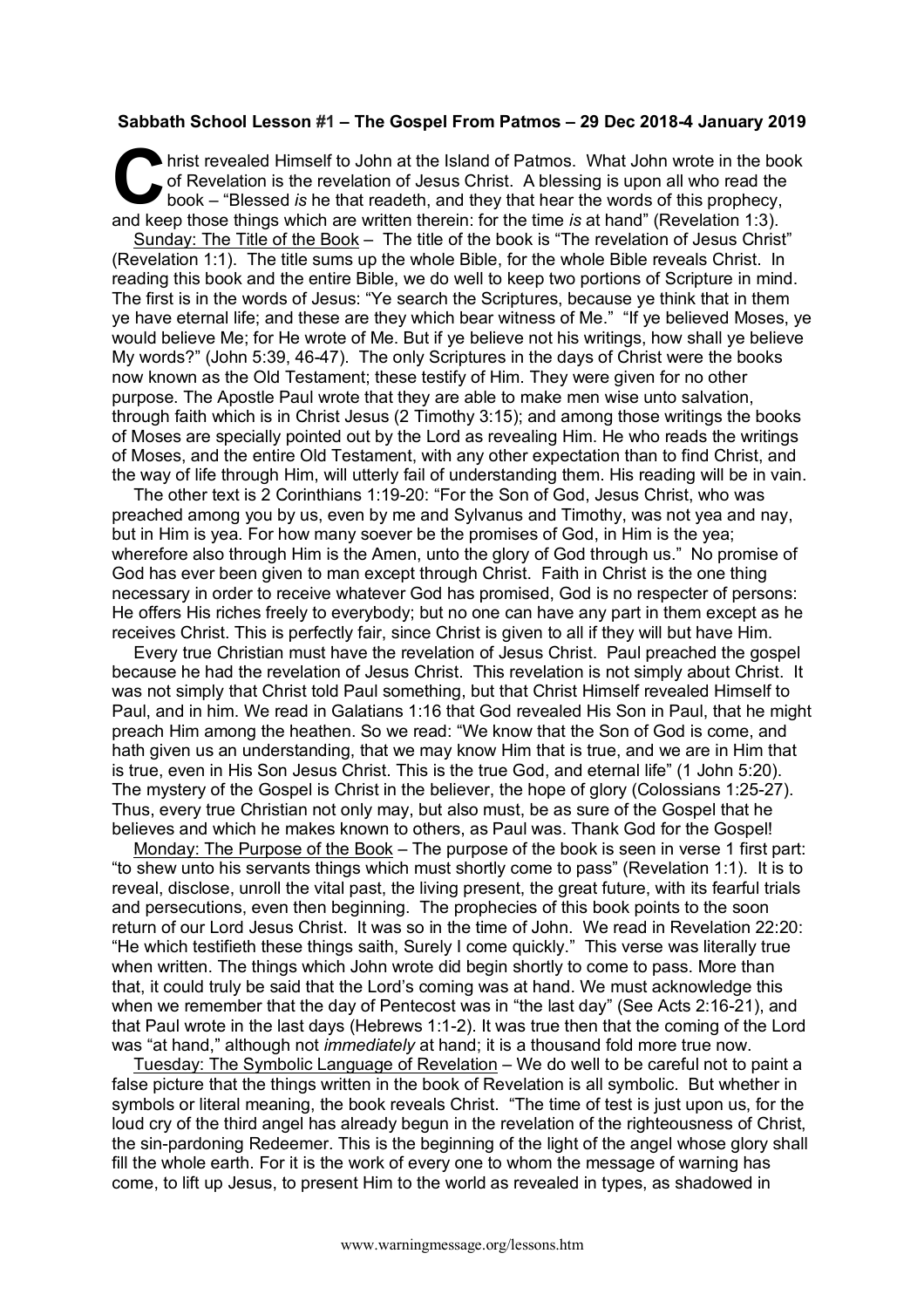## **Sabbath School Lesson #1 – The Gospel From Patmos – 29 Dec 2018-4 January 2019**

hrist revealed Himself to John at the Island of Patmos. What John wrote in the book of Revelation is the revelation of Jesus Christ. A blessing is upon all who read the book – "Blessed *is* he that readeth, and they that hear the words of this prophecy, and keep those things which are written therein: for the time *is* at hand" (Revelation 1:3). C of

Sunday: The Title of the Book – The title of the book is "The revelation of Jesus Christ" (Revelation 1:1). The title sums up the whole Bible, for the whole Bible reveals Christ. In reading this book and the entire Bible, we do well to keep two portions of Scripture in mind. The first is in the words of Jesus: "Ye search the Scriptures, because ye think that in them ye have eternal life; and these are they which bear witness of Me." "If ye believed Moses, ye would believe Me; for He wrote of Me. But if ye believe not his writings, how shall ye believe My words?" (John 5:39, 46-47). The only Scriptures in the days of Christ were the books now known as the Old Testament; these testify of Him. They were given for no other purpose. The Apostle Paul wrote that they are able to make men wise unto salvation, through faith which is in Christ Jesus (2 Timothy 3:15); and among those writings the books of Moses are specially pointed out by the Lord as revealing Him. He who reads the writings of Moses, and the entire Old Testament, with any other expectation than to find Christ, and the way of life through Him, will utterly fail of understanding them. His reading will be in vain.

The other text is 2 Corinthians 1:19-20: "For the Son of God, Jesus Christ, who was preached among you by us, even by me and Sylvanus and Timothy, was not yea and nay, but in Him is yea. For how many soever be the promises of God, in Him is the yea; wherefore also through Him is the Amen, unto the glory of God through us." No promise of God has ever been given to man except through Christ. Faith in Christ is the one thing necessary in order to receive whatever God has promised, God is no respecter of persons: He offers His riches freely to everybody; but no one can have any part in them except as he receives Christ. This is perfectly fair, since Christ is given to all if they will but have Him.

Every true Christian must have the revelation of Jesus Christ. Paul preached the gospel because he had the revelation of Jesus Christ. This revelation is not simply about Christ. It was not simply that Christ told Paul something, but that Christ Himself revealed Himself to Paul, and in him. We read in Galatians 1:16 that God revealed His Son in Paul, that he might preach Him among the heathen. So we read: "We know that the Son of God is come, and hath given us an understanding, that we may know Him that is true, and we are in Him that is true, even in His Son Jesus Christ. This is the true God, and eternal life" (1 John 5:20). The mystery of the Gospel is Christ in the believer, the hope of glory (Colossians 1:25-27). Thus, every true Christian not only may, but also must, be as sure of the Gospel that he believes and which he makes known to others, as Paul was. Thank God for the Gospel!

Monday: The Purpose of the Book – The purpose of the book is seen in verse 1 first part: "to shew unto his servants things which must shortly come to pass" (Revelation 1:1). It is to reveal, disclose, unroll the vital past, the living present, the great future, with its fearful trials and persecutions, even then beginning. The prophecies of this book points to the soon return of our Lord Jesus Christ. It was so in the time of John. We read in Revelation 22:20: "He which testifieth these things saith, Surely I come quickly." This verse was literally true when written. The things which John wrote did begin shortly to come to pass. More than that, it could truly be said that the Lord's coming was at hand. We must acknowledge this when we remember that the day of Pentecost was in "the last day" (See Acts 2:16-21), and that Paul wrote in the last days (Hebrews 1:1-2). It was true then that the coming of the Lord was "at hand," although not *immediately* at hand; it is a thousand fold more true now.

Tuesday: The Symbolic Language of Revelation – We do well to be careful not to paint a false picture that the things written in the book of Revelation is all symbolic. But whether in symbols or literal meaning, the book reveals Christ. "The time of test is just upon us, for the loud cry of the third angel has already begun in the revelation of the righteousness of Christ, the sin-pardoning Redeemer. This is the beginning of the light of the angel whose glory shall fill the whole earth. For it is the work of every one to whom the message of warning has come, to lift up Jesus, to present Him to the world as revealed in types, as shadowed in